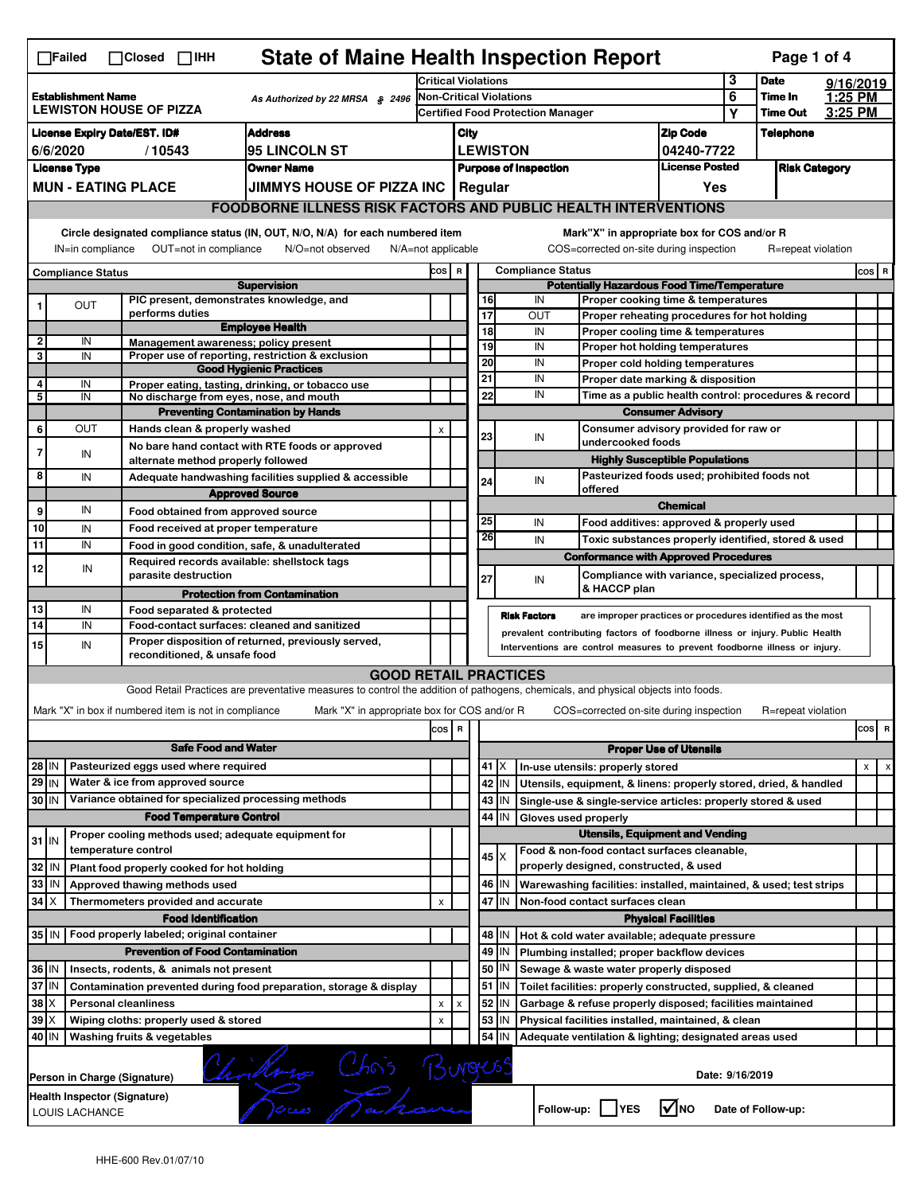| <b>State of Maine Health Inspection Report</b><br>Page 1 of 4<br>∏Failed<br>$\Box$ Closed $\Box$ IHH                                                                                                                                                                                  |                                                               |                              |                                                       |                                                                                                                                   |                                                                     |      |                 |                               |                                                                                                                                                            |                                       |                            |                      |           |          |  |
|---------------------------------------------------------------------------------------------------------------------------------------------------------------------------------------------------------------------------------------------------------------------------------------|---------------------------------------------------------------|------------------------------|-------------------------------------------------------|-----------------------------------------------------------------------------------------------------------------------------------|---------------------------------------------------------------------|------|-----------------|-------------------------------|------------------------------------------------------------------------------------------------------------------------------------------------------------|---------------------------------------|----------------------------|----------------------|-----------|----------|--|
|                                                                                                                                                                                                                                                                                       |                                                               |                              |                                                       |                                                                                                                                   | <b>Critical Violations</b>                                          |      |                 |                               |                                                                                                                                                            | 3                                     | <b>Date</b>                |                      | 9/16/2019 |          |  |
| <b>Establishment Name</b><br>As Authorized by 22 MRSA § 2496<br><b>LEWISTON HOUSE OF PIZZA</b>                                                                                                                                                                                        |                                                               |                              |                                                       |                                                                                                                                   | Non-Critical Violations<br><b>Certified Food Protection Manager</b> |      |                 |                               |                                                                                                                                                            | 6                                     | Time In<br><b>Time Out</b> | 1:25 PM<br>3:25 PM   |           |          |  |
|                                                                                                                                                                                                                                                                                       |                                                               |                              |                                                       |                                                                                                                                   |                                                                     |      |                 |                               |                                                                                                                                                            |                                       | Υ                          |                      |           |          |  |
| <b>Address</b><br><b>License Expiry Date/EST. ID#</b>                                                                                                                                                                                                                                 |                                                               |                              |                                                       |                                                                                                                                   |                                                                     | City |                 |                               |                                                                                                                                                            | <b>Zip Code</b>                       |                            | <b>Telephone</b>     |           |          |  |
| 6/6/2020<br>l95 LINCOLN ST<br>/10543                                                                                                                                                                                                                                                  |                                                               |                              |                                                       |                                                                                                                                   |                                                                     |      |                 | <b>LEWISTON</b>               |                                                                                                                                                            | 04240-7722<br><b>License Posted</b>   |                            |                      |           |          |  |
|                                                                                                                                                                                                                                                                                       | <b>License Type</b><br><b>Owner Name</b>                      |                              |                                                       |                                                                                                                                   |                                                                     |      |                 | <b>Purpose of Inspection</b>  |                                                                                                                                                            |                                       |                            | <b>Risk Category</b> |           |          |  |
|                                                                                                                                                                                                                                                                                       | <b>MUN - EATING PLACE</b><br>JIMMYS HOUSE OF PIZZA INC        |                              |                                                       |                                                                                                                                   |                                                                     |      | <b>Regular</b>  |                               |                                                                                                                                                            | Yes                                   |                            |                      |           |          |  |
|                                                                                                                                                                                                                                                                                       |                                                               |                              |                                                       | <b>FOODBORNE ILLNESS RISK FACTORS AND PUBLIC HEALTH INTERVENTIONS</b>                                                             |                                                                     |      |                 |                               |                                                                                                                                                            |                                       |                            |                      |           |          |  |
| Circle designated compliance status (IN, OUT, N/O, N/A) for each numbered item<br>Mark"X" in appropriate box for COS and/or R<br>OUT=not in compliance<br>COS=corrected on-site during inspection<br>IN=in compliance<br>N/O=not observed<br>N/A=not applicable<br>R=repeat violation |                                                               |                              |                                                       |                                                                                                                                   |                                                                     |      |                 |                               |                                                                                                                                                            |                                       |                            |                      |           |          |  |
| <b>Compliance Status</b>                                                                                                                                                                                                                                                              |                                                               |                              |                                                       |                                                                                                                                   | COS R                                                               |      |                 |                               | <b>Compliance Status</b>                                                                                                                                   |                                       |                            |                      |           | $cos$ R  |  |
|                                                                                                                                                                                                                                                                                       |                                                               |                              |                                                       | <b>Supervision</b>                                                                                                                |                                                                     |      |                 |                               | <b>Potentially Hazardous Food Time/Temperature</b>                                                                                                         |                                       |                            |                      |           |          |  |
| 1                                                                                                                                                                                                                                                                                     | <b>OUT</b>                                                    |                              | performs duties                                       | PIC present, demonstrates knowledge, and                                                                                          |                                                                     |      | 16<br>17        |                               | IN<br>Proper cooking time & temperatures<br>OUT                                                                                                            |                                       |                            |                      |           |          |  |
|                                                                                                                                                                                                                                                                                       |                                                               |                              |                                                       | <b>Employee Health</b>                                                                                                            |                                                                     |      | $\overline{18}$ |                               | Proper reheating procedures for hot holding<br>IN<br>Proper cooling time & temperatures                                                                    |                                       |                            |                      |           |          |  |
| $\overline{2}$                                                                                                                                                                                                                                                                        | IN                                                            |                              |                                                       | Management awareness; policy present                                                                                              |                                                                     |      | 19              |                               | IN<br>Proper hot holding temperatures                                                                                                                      |                                       |                            |                      |           |          |  |
| 3                                                                                                                                                                                                                                                                                     | IN                                                            |                              |                                                       | Proper use of reporting, restriction & exclusion                                                                                  |                                                                     |      | 20              |                               | IN<br>Proper cold holding temperatures                                                                                                                     |                                       |                            |                      |           |          |  |
| 4                                                                                                                                                                                                                                                                                     | IN                                                            |                              |                                                       | <b>Good Hygienic Practices</b><br>Proper eating, tasting, drinking, or tobacco use                                                |                                                                     |      | 21              |                               | IN<br>Proper date marking & disposition                                                                                                                    |                                       |                            |                      |           |          |  |
| 5                                                                                                                                                                                                                                                                                     | IN                                                            |                              |                                                       | No discharge from eyes, nose, and mouth                                                                                           |                                                                     |      | 22              |                               | IN<br>Time as a public health control: procedures & record                                                                                                 |                                       |                            |                      |           |          |  |
|                                                                                                                                                                                                                                                                                       |                                                               |                              |                                                       | <b>Preventing Contamination by Hands</b>                                                                                          |                                                                     |      |                 |                               |                                                                                                                                                            | <b>Consumer Advisory</b>              |                            |                      |           |          |  |
| 6                                                                                                                                                                                                                                                                                     | OUT                                                           |                              | Hands clean & properly washed                         |                                                                                                                                   | $\pmb{\times}$                                                      |      | 23              |                               | Consumer advisory provided for raw or<br>IN                                                                                                                |                                       |                            |                      |           |          |  |
| $\overline{7}$                                                                                                                                                                                                                                                                        | IN                                                            |                              |                                                       | No bare hand contact with RTE foods or approved                                                                                   |                                                                     |      |                 |                               | undercooked foods                                                                                                                                          |                                       |                            |                      |           |          |  |
|                                                                                                                                                                                                                                                                                       |                                                               |                              | alternate method properly followed                    |                                                                                                                                   |                                                                     |      |                 |                               |                                                                                                                                                            | <b>Highly Susceptible Populations</b> |                            |                      |           |          |  |
| 8                                                                                                                                                                                                                                                                                     | IN                                                            |                              |                                                       | Adequate handwashing facilities supplied & accessible                                                                             |                                                                     |      | 24              |                               | Pasteurized foods used; prohibited foods not<br>IN<br>offered                                                                                              |                                       |                            |                      |           |          |  |
|                                                                                                                                                                                                                                                                                       |                                                               |                              |                                                       | <b>Approved Source</b>                                                                                                            |                                                                     |      |                 |                               |                                                                                                                                                            | <b>Chemical</b>                       |                            |                      |           |          |  |
| 9                                                                                                                                                                                                                                                                                     | IN                                                            |                              | Food obtained from approved source                    |                                                                                                                                   |                                                                     |      | 25              |                               | IN<br>Food additives: approved & properly used                                                                                                             |                                       |                            |                      |           |          |  |
| 10                                                                                                                                                                                                                                                                                    | IN                                                            |                              | Food received at proper temperature                   |                                                                                                                                   |                                                                     |      | 26              |                               | IN<br>Toxic substances properly identified, stored & used                                                                                                  |                                       |                            |                      |           |          |  |
| 11                                                                                                                                                                                                                                                                                    | IN                                                            |                              |                                                       | Food in good condition, safe, & unadulterated                                                                                     |                                                                     |      |                 |                               | <b>Conformance with Approved Procedures</b>                                                                                                                |                                       |                            |                      |           |          |  |
| 12                                                                                                                                                                                                                                                                                    | IN                                                            |                              | parasite destruction                                  | Required records available: shellstock tags                                                                                       |                                                                     |      |                 |                               | Compliance with variance, specialized process,                                                                                                             |                                       |                            |                      |           |          |  |
|                                                                                                                                                                                                                                                                                       |                                                               |                              |                                                       | <b>Protection from Contamination</b>                                                                                              |                                                                     |      | 27              |                               | IN<br>& HACCP plan                                                                                                                                         |                                       |                            |                      |           |          |  |
| 13                                                                                                                                                                                                                                                                                    | IN                                                            |                              | Food separated & protected                            |                                                                                                                                   |                                                                     |      |                 |                               |                                                                                                                                                            |                                       |                            |                      |           |          |  |
| 14                                                                                                                                                                                                                                                                                    | IN                                                            |                              |                                                       | Food-contact surfaces: cleaned and sanitized                                                                                      |                                                                     |      |                 | <b>Risk Factors</b>           | are improper practices or procedures identified as the most                                                                                                |                                       |                            |                      |           |          |  |
| 15                                                                                                                                                                                                                                                                                    | IN                                                            |                              |                                                       | Proper disposition of returned, previously served,                                                                                |                                                                     |      |                 |                               | prevalent contributing factors of foodborne illness or injury. Public Health<br>Interventions are control measures to prevent foodborne illness or injury. |                                       |                            |                      |           |          |  |
|                                                                                                                                                                                                                                                                                       |                                                               |                              | reconditioned, & unsafe food                          |                                                                                                                                   |                                                                     |      |                 |                               |                                                                                                                                                            |                                       |                            |                      |           |          |  |
|                                                                                                                                                                                                                                                                                       |                                                               |                              |                                                       | <b>GOOD RETAIL PRACTICES</b>                                                                                                      |                                                                     |      |                 |                               |                                                                                                                                                            |                                       |                            |                      |           |          |  |
|                                                                                                                                                                                                                                                                                       |                                                               |                              |                                                       | Good Retail Practices are preventative measures to control the addition of pathogens, chemicals, and physical objects into foods. |                                                                     |      |                 |                               |                                                                                                                                                            |                                       |                            |                      |           |          |  |
|                                                                                                                                                                                                                                                                                       |                                                               |                              | Mark "X" in box if numbered item is not in compliance | Mark "X" in appropriate box for COS and/or R                                                                                      |                                                                     |      |                 |                               | COS=corrected on-site during inspection                                                                                                                    |                                       |                            | R=repeat violation   |           |          |  |
|                                                                                                                                                                                                                                                                                       |                                                               |                              |                                                       |                                                                                                                                   | cos                                                                 | R    |                 |                               |                                                                                                                                                            |                                       |                            |                      |           | cos<br>R |  |
|                                                                                                                                                                                                                                                                                       |                                                               |                              | <b>Safe Food and Water</b>                            |                                                                                                                                   |                                                                     |      |                 | <b>Proper Use of Utensils</b> |                                                                                                                                                            |                                       |                            |                      |           |          |  |
|                                                                                                                                                                                                                                                                                       |                                                               |                              |                                                       | Pasteurized eggs used where required<br>28 IN                                                                                     |                                                                     |      |                 |                               |                                                                                                                                                            |                                       |                            |                      |           |          |  |
|                                                                                                                                                                                                                                                                                       |                                                               |                              | Water & ice from approved source<br>$29$ IN           |                                                                                                                                   |                                                                     |      |                 | 41   X                        | In-use utensils: properly stored                                                                                                                           |                                       |                            |                      |           | x        |  |
|                                                                                                                                                                                                                                                                                       | Variance obtained for specialized processing methods<br>30 IN |                              |                                                       |                                                                                                                                   |                                                                     |      |                 | 42 IN                         | Utensils, equipment, & linens: properly stored, dried, & handled                                                                                           |                                       |                            |                      |           |          |  |
| <b>Food Temperature Control</b>                                                                                                                                                                                                                                                       |                                                               |                              |                                                       |                                                                                                                                   |                                                                     |      |                 | 43   IN                       | Single-use & single-service articles: properly stored & used                                                                                               |                                       |                            |                      |           |          |  |
|                                                                                                                                                                                                                                                                                       |                                                               |                              |                                                       |                                                                                                                                   |                                                                     |      |                 | 44 IN                         | Gloves used properly                                                                                                                                       |                                       |                            |                      |           |          |  |
| $31$ IN                                                                                                                                                                                                                                                                               |                                                               |                              |                                                       | Proper cooling methods used; adequate equipment for                                                                               |                                                                     |      |                 |                               | <b>Utensils, Equipment and Vending</b>                                                                                                                     |                                       |                            |                      |           |          |  |
|                                                                                                                                                                                                                                                                                       |                                                               | temperature control          |                                                       |                                                                                                                                   |                                                                     |      | $45 \times$     |                               | Food & non-food contact surfaces cleanable,                                                                                                                |                                       |                            |                      |           |          |  |
| 32<br>l IN                                                                                                                                                                                                                                                                            |                                                               |                              | Plant food properly cooked for hot holding            |                                                                                                                                   |                                                                     |      |                 |                               | properly designed, constructed, & used                                                                                                                     |                                       |                            |                      |           |          |  |
| 33<br>IN                                                                                                                                                                                                                                                                              |                                                               |                              | Approved thawing methods used                         |                                                                                                                                   |                                                                     |      |                 | 46 IN                         | Warewashing facilities: installed, maintained, & used; test strips                                                                                         |                                       |                            |                      |           |          |  |
| 34<br>IΧ                                                                                                                                                                                                                                                                              |                                                               |                              | Thermometers provided and accurate                    |                                                                                                                                   | X                                                                   |      | 47              | IN                            | Non-food contact surfaces clean                                                                                                                            |                                       |                            |                      |           |          |  |
|                                                                                                                                                                                                                                                                                       |                                                               |                              | <b>Food Identification</b>                            |                                                                                                                                   |                                                                     |      |                 |                               |                                                                                                                                                            | <b>Physical Facilities</b>            |                            |                      |           |          |  |
|                                                                                                                                                                                                                                                                                       |                                                               |                              | 35 IN   Food properly labeled; original container     |                                                                                                                                   |                                                                     |      |                 | 48   IN                       | Hot & cold water available; adequate pressure                                                                                                              |                                       |                            |                      |           |          |  |
|                                                                                                                                                                                                                                                                                       |                                                               |                              | <b>Prevention of Food Contamination</b>               |                                                                                                                                   |                                                                     |      | 49 IN           |                               | Plumbing installed; proper backflow devices                                                                                                                |                                       |                            |                      |           |          |  |
| 36 IN                                                                                                                                                                                                                                                                                 |                                                               |                              | Insects, rodents, & animals not present               |                                                                                                                                   |                                                                     |      | 50              | IN                            | Sewage & waste water properly disposed                                                                                                                     |                                       |                            |                      |           |          |  |
| 37 IN                                                                                                                                                                                                                                                                                 |                                                               |                              |                                                       | Contamination prevented during food preparation, storage & display                                                                |                                                                     |      |                 | $51$ IN                       | Toilet facilities: properly constructed, supplied, & cleaned                                                                                               |                                       |                            |                      |           |          |  |
| $38$ $\times$                                                                                                                                                                                                                                                                         |                                                               | <b>Personal cleanliness</b>  |                                                       |                                                                                                                                   | X                                                                   | X    |                 | $52$   IN                     | Garbage & refuse properly disposed; facilities maintained                                                                                                  |                                       |                            |                      |           |          |  |
| $39 \times$                                                                                                                                                                                                                                                                           |                                                               |                              | Wiping cloths: properly used & stored                 |                                                                                                                                   | X                                                                   |      | 53              | IN                            | Physical facilities installed, maintained, & clean                                                                                                         |                                       |                            |                      |           |          |  |
| 40 IN                                                                                                                                                                                                                                                                                 |                                                               | Washing fruits & vegetables  |                                                       |                                                                                                                                   |                                                                     |      | 54              | IN                            | Adequate ventilation & lighting; designated areas used                                                                                                     |                                       |                            |                      |           |          |  |
|                                                                                                                                                                                                                                                                                       |                                                               | Person in Charge (Signature) |                                                       | Unitario Chois Burgues                                                                                                            |                                                                     |      |                 |                               |                                                                                                                                                            | Date: 9/16/2019                       |                            |                      |           |          |  |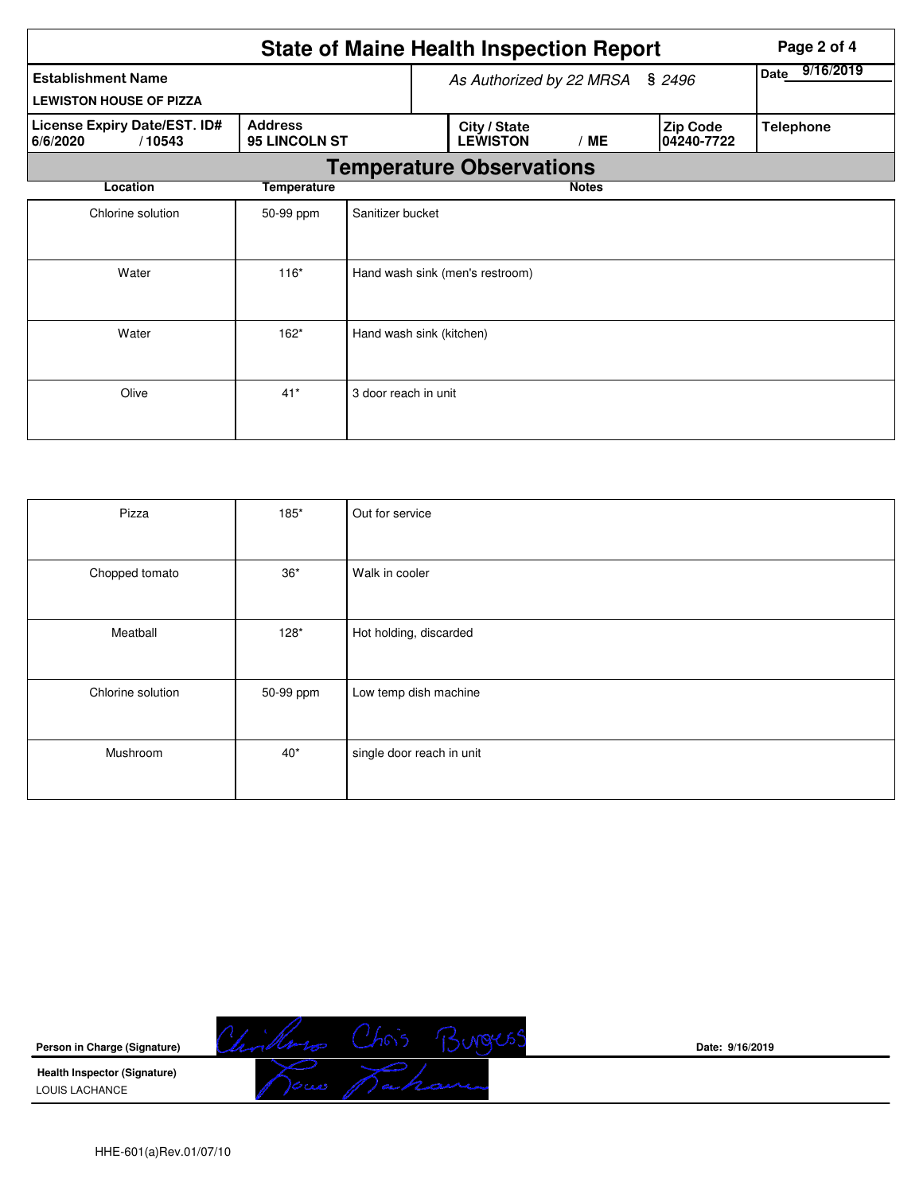|                                                             | Page 2 of 4                     |                                 |                                 |                   |                               |                  |  |  |  |
|-------------------------------------------------------------|---------------------------------|---------------------------------|---------------------------------|-------------------|-------------------------------|------------------|--|--|--|
| <b>Establishment Name</b><br><b>LEWISTON HOUSE OF PIZZA</b> |                                 |                                 | As Authorized by 22 MRSA        | 9/16/2019<br>Date |                               |                  |  |  |  |
| License Expiry Date/EST. ID#<br>6/6/2020<br>/10543          | <b>Address</b><br>95 LINCOLN ST |                                 | City / State<br><b>LEWISTON</b> | /ME               | <b>Zip Code</b><br>04240-7722 | <b>Telephone</b> |  |  |  |
|                                                             | <b>Temperature Observations</b> |                                 |                                 |                   |                               |                  |  |  |  |
| Location                                                    | <b>Temperature</b>              |                                 |                                 | <b>Notes</b>      |                               |                  |  |  |  |
| Chlorine solution                                           | 50-99 ppm                       | Sanitizer bucket                |                                 |                   |                               |                  |  |  |  |
| Water                                                       | $116*$                          | Hand wash sink (men's restroom) |                                 |                   |                               |                  |  |  |  |
| Water                                                       | $162*$                          | Hand wash sink (kitchen)        |                                 |                   |                               |                  |  |  |  |
| Olive                                                       | $41*$                           | 3 door reach in unit            |                                 |                   |                               |                  |  |  |  |

| Pizza             | 185*         | Out for service           |
|-------------------|--------------|---------------------------|
| Chopped tomato    | $36^{\star}$ | Walk in cooler            |
| Meatball          | $128*$       | Hot holding, discarded    |
| Chlorine solution | 50-99 ppm    | Low temp dish machine     |
| Mushroom          | $40*$        | single door reach in unit |



**Date: 9/16/2019**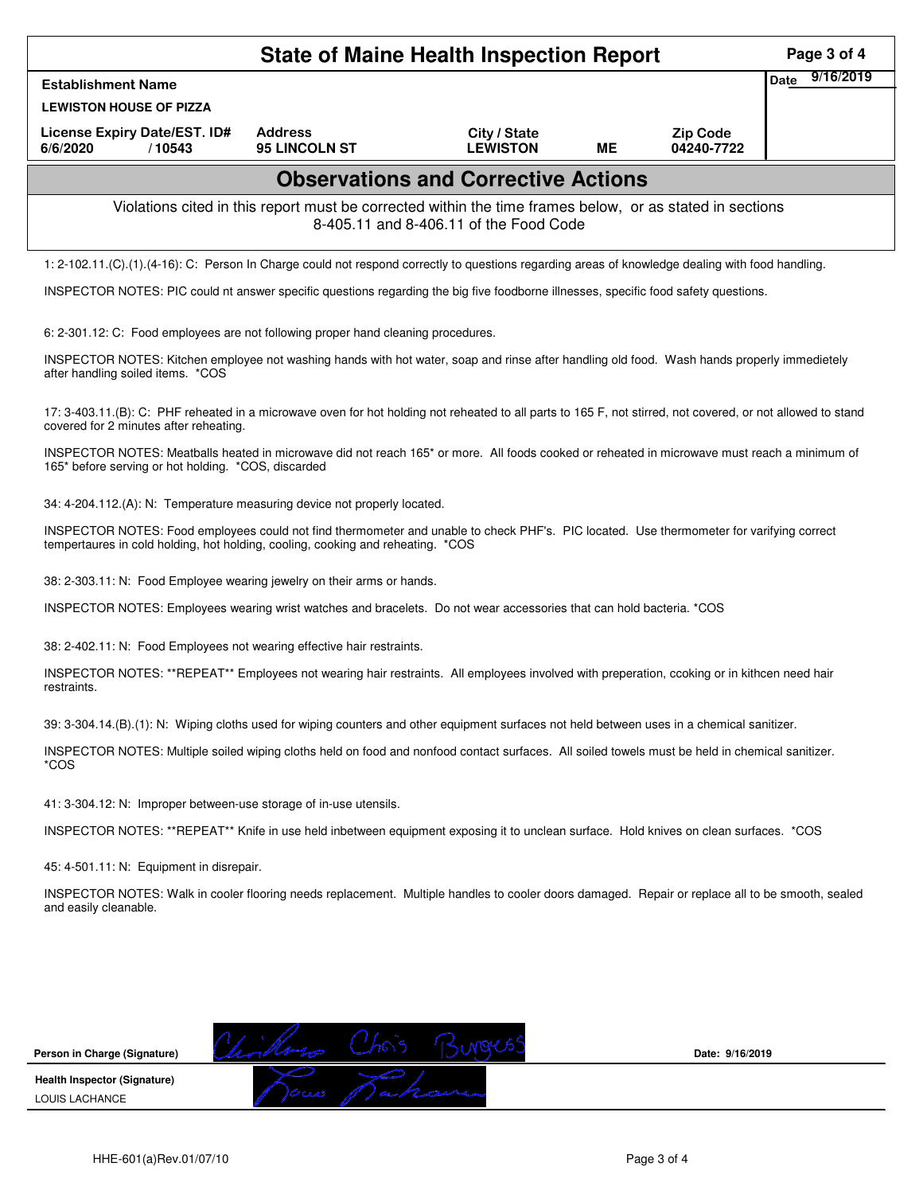|                                                                                                                                                                                                                             | Page 3 of 4                                                                                                                                     |                                        |    |                               |                          |  |  |  |
|-----------------------------------------------------------------------------------------------------------------------------------------------------------------------------------------------------------------------------|-------------------------------------------------------------------------------------------------------------------------------------------------|----------------------------------------|----|-------------------------------|--------------------------|--|--|--|
| <b>Establishment Name</b>                                                                                                                                                                                                   |                                                                                                                                                 |                                        |    |                               | 9/16/2019<br><b>Date</b> |  |  |  |
| <b>LEWISTON HOUSE OF PIZZA</b>                                                                                                                                                                                              |                                                                                                                                                 |                                        |    |                               |                          |  |  |  |
| License Expiry Date/EST. ID#<br>6/6/2020<br>/10543                                                                                                                                                                          | <b>Address</b><br><b>95 LINCOLN ST</b>                                                                                                          | City / State<br><b>LEWISTON</b>        | ME | <b>Zip Code</b><br>04240-7722 |                          |  |  |  |
|                                                                                                                                                                                                                             | <b>Observations and Corrective Actions</b>                                                                                                      |                                        |    |                               |                          |  |  |  |
|                                                                                                                                                                                                                             | Violations cited in this report must be corrected within the time frames below, or as stated in sections                                        | 8-405.11 and 8-406.11 of the Food Code |    |                               |                          |  |  |  |
| 1: 2-102.11.(C).(1).(4-16): C: Person In Charge could not respond correctly to questions regarding areas of knowledge dealing with food handling.                                                                           |                                                                                                                                                 |                                        |    |                               |                          |  |  |  |
| INSPECTOR NOTES: PIC could nt answer specific questions regarding the big five foodborne illnesses, specific food safety questions.                                                                                         |                                                                                                                                                 |                                        |    |                               |                          |  |  |  |
| 6: 2-301.12: C: Food employees are not following proper hand cleaning procedures.                                                                                                                                           |                                                                                                                                                 |                                        |    |                               |                          |  |  |  |
| INSPECTOR NOTES: Kitchen employee not washing hands with hot water, soap and rinse after handling old food. Wash hands properly immedietely<br>after handling soiled items. *COS                                            |                                                                                                                                                 |                                        |    |                               |                          |  |  |  |
| 17: 3-403.11.(B): C: PHF reheated in a microwave oven for hot holding not reheated to all parts to 165 F, not stirred, not covered, or not allowed to stand<br>covered for 2 minutes after reheating.                       |                                                                                                                                                 |                                        |    |                               |                          |  |  |  |
| INSPECTOR NOTES: Meatballs heated in microwave did not reach 165 <sup>*</sup> or more. All foods cooked or reheated in microwave must reach a minimum of<br>165* before serving or hot holding. *COS, discarded             |                                                                                                                                                 |                                        |    |                               |                          |  |  |  |
| 34: 4-204.112.(A): N: Temperature measuring device not properly located.                                                                                                                                                    |                                                                                                                                                 |                                        |    |                               |                          |  |  |  |
| INSPECTOR NOTES: Food employees could not find thermometer and unable to check PHF's. PIC located. Use thermometer for varifying correct<br>tempertaures in cold holding, hot holding, cooling, cooking and reheating. *COS |                                                                                                                                                 |                                        |    |                               |                          |  |  |  |
| 38: 2-303.11: N: Food Employee wearing jewelry on their arms or hands.                                                                                                                                                      |                                                                                                                                                 |                                        |    |                               |                          |  |  |  |
| INSPECTOR NOTES: Employees wearing wrist watches and bracelets. Do not wear accessories that can hold bacteria. *COS                                                                                                        |                                                                                                                                                 |                                        |    |                               |                          |  |  |  |
| 38: 2-402.11: N: Food Employees not wearing effective hair restraints.                                                                                                                                                      |                                                                                                                                                 |                                        |    |                               |                          |  |  |  |
| INSPECTOR NOTES: **REPEAT** Employees not wearing hair restraints. All employees involved with preperation, ccoking or in kithcen need hair<br>restraints.                                                                  |                                                                                                                                                 |                                        |    |                               |                          |  |  |  |
| 39: 3-304.14.(B).(1): N: Wiping cloths used for wiping counters and other equipment surfaces not held between uses in a chemical sanitizer.                                                                                 |                                                                                                                                                 |                                        |    |                               |                          |  |  |  |
| *COS                                                                                                                                                                                                                        | INSPECTOR NOTES: Multiple soiled wiping cloths held on food and nonfood contact surfaces. All soiled towels must be held in chemical sanitizer. |                                        |    |                               |                          |  |  |  |
| 41: 3-304.12: N: Improper between-use storage of in-use utensils.                                                                                                                                                           |                                                                                                                                                 |                                        |    |                               |                          |  |  |  |
| INSPECTOR NOTES: **REPEAT** Knife in use held inbetween equipment exposing it to unclean surface. Hold knives on clean surfaces. *COS                                                                                       |                                                                                                                                                 |                                        |    |                               |                          |  |  |  |
| 45: 4-501.11: N: Equipment in disrepair.                                                                                                                                                                                    |                                                                                                                                                 |                                        |    |                               |                          |  |  |  |
| INSPECTOR NOTES: Walk in cooler flooring needs replacement. Multiple handles to cooler doors damaged. Repair or replace all to be smooth, sealed<br>and easily cleanable.                                                   |                                                                                                                                                 |                                        |    |                               |                          |  |  |  |
|                                                                                                                                                                                                                             |                                                                                                                                                 |                                        |    |                               |                          |  |  |  |
|                                                                                                                                                                                                                             |                                                                                                                                                 |                                        |    |                               |                          |  |  |  |
|                                                                                                                                                                                                                             |                                                                                                                                                 |                                        |    |                               |                          |  |  |  |
| Person in Charge (Signature)                                                                                                                                                                                                |                                                                                                                                                 |                                        |    | Date: 9/16/2019               |                          |  |  |  |
| <b>Health Inspector (Signature)</b><br>LOUIS LACHANCE                                                                                                                                                                       |                                                                                                                                                 |                                        |    |                               |                          |  |  |  |